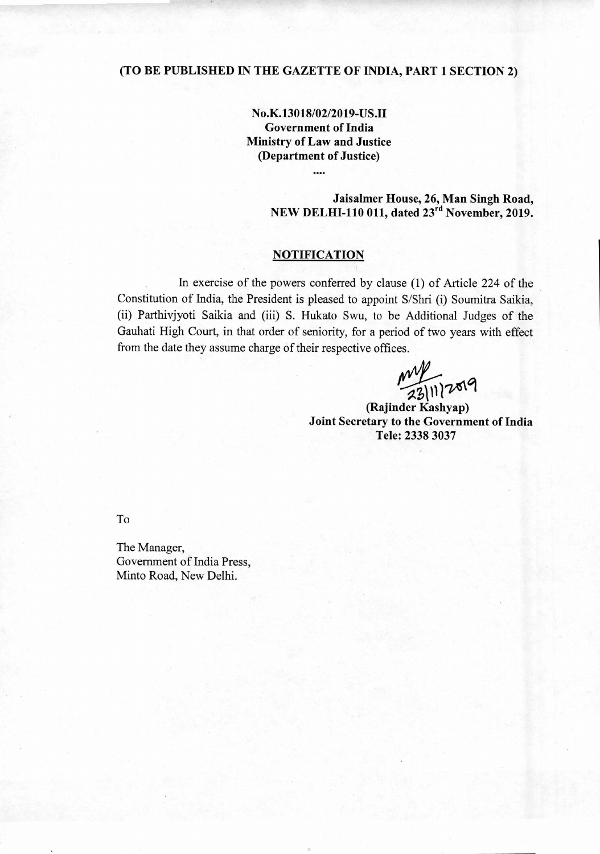# **(TO BE PUBLISHED IN THE GAZETTE OF INDIA, PART 1 SECTION 2)**

**No.K.13018/02/2019-USJI Government of India Ministry of Law and Justice (Department of Justice)** 

# **Jaisalmer House, 26, Man Singh Road, NEW DELHI-110 011, dated 23<sup>rd</sup> November, 2019.**

# **NOTIFICATION**

In exercise of the powers conferred by clause (1) of Article 224 of the Constitution of India, the President is pleased to appoint S/Shri (i) Soumitra Saikia, (ii) Parthivjyoti Saikia and (iii) S. Hukato Swu, to be Additional Judges of the Gauhati High Court, in that order of seniority, for a period of two years with effect from the date they assume charge of their respective offices.

my<br>23/11/2019

**(Rajinder Kashyap) Joint Secretary to the Government of India Tele: 2338 3037** 

To

The Manager, Government of India Press, Minto Road, New Delhi.